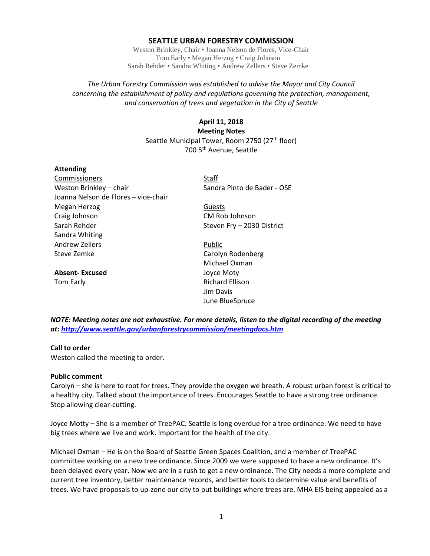### **SEATTLE URBAN FORESTRY COMMISSION**

Weston Brinkley, Chair • Joanna Nelson de Flores, Vice-Chair Tom Early • Megan Herzog • Craig Johnson Sarah Rehder • Sandra Whiting • Andrew Zellers • Steve Zemke

## *The Urban Forestry Commission was established to advise the Mayor and City Council concerning the establishment of policy and regulations governing the protection, management, and conservation of trees and vegetation in the City of Seattle*

# **April 11, 2018 Meeting Notes** Seattle Municipal Tower, Room 2750 (27<sup>th</sup> floor) 700 5th Avenue, Seattle

### **Attending**

Commissioners Staff Weston Brinkley – chair Sandra Pinto de Bader - OSE Joanna Nelson de Flores – vice-chair Megan Herzog Guests Craig Johnson CM Rob Johnson Sarah Rehder Sarah Property – 2030 District Sandra Whiting Andrew Zellers **Public** Steve Zemke Carolyn Rodenberg

**Absent- Excused** Joyce Moty Tom Early **Richard Ellison** 

Michael Oxman Jim Davis June BlueSpruce

*NOTE: Meeting notes are not exhaustive. For more details, listen to the digital recording of the meeting at:<http://www.seattle.gov/urbanforestrycommission/meetingdocs.htm>*

### **Call to order**

Weston called the meeting to order.

#### **Public comment**

Carolyn – she is here to root for trees. They provide the oxygen we breath. A robust urban forest is critical to a healthy city. Talked about the importance of trees. Encourages Seattle to have a strong tree ordinance. Stop allowing clear-cutting.

Joyce Motty – She is a member of TreePAC. Seattle is long overdue for a tree ordinance. We need to have big trees where we live and work. Important for the health of the city.

Michael Oxman – He is on the Board of Seattle Green Spaces Coalition, and a member of TreePAC committee working on a new tree ordinance. Since 2009 we were supposed to have a new ordinance. It's been delayed every year. Now we are in a rush to get a new ordinance. The City needs a more complete and current tree inventory, better maintenance records, and better tools to determine value and benefits of trees. We have proposals to up-zone our city to put buildings where trees are. MHA EIS being appealed as a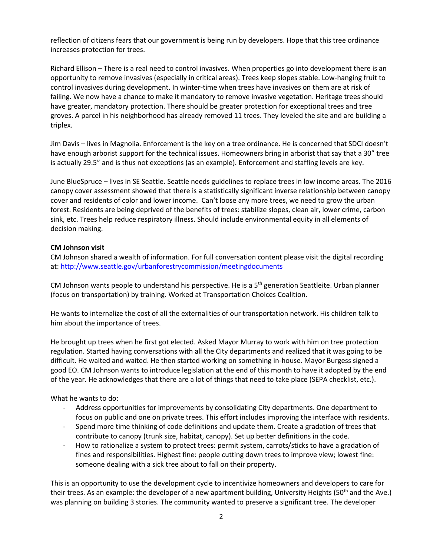reflection of citizens fears that our government is being run by developers. Hope that this tree ordinance increases protection for trees.

Richard Ellison – There is a real need to control invasives. When properties go into development there is an opportunity to remove invasives (especially in critical areas). Trees keep slopes stable. Low-hanging fruit to control invasives during development. In winter-time when trees have invasives on them are at risk of failing. We now have a chance to make it mandatory to remove invasive vegetation. Heritage trees should have greater, mandatory protection. There should be greater protection for exceptional trees and tree groves. A parcel in his neighborhood has already removed 11 trees. They leveled the site and are building a triplex.

Jim Davis – lives in Magnolia. Enforcement is the key on a tree ordinance. He is concerned that SDCI doesn't have enough arborist support for the technical issues. Homeowners bring in arborist that say that a 30" tree is actually 29.5" and is thus not exceptions (as an example). Enforcement and staffing levels are key.

June BlueSpruce – lives in SE Seattle. Seattle needs guidelines to replace trees in low income areas. The 2016 canopy cover assessment showed that there is a statistically significant inverse relationship between canopy cover and residents of color and lower income. Can't loose any more trees, we need to grow the urban forest. Residents are being deprived of the benefits of trees: stabilize slopes, clean air, lower crime, carbon sink, etc. Trees help reduce respiratory illness. Should include environmental equity in all elements of decision making.

## **CM Johnson visit**

CM Johnson shared a wealth of information. For full conversation content please visit the digital recording at:<http://www.seattle.gov/urbanforestrycommission/meetingdocuments>

CM Johnson wants people to understand his perspective. He is a 5<sup>th</sup> generation Seattleite. Urban planner (focus on transportation) by training. Worked at Transportation Choices Coalition.

He wants to internalize the cost of all the externalities of our transportation network. His children talk to him about the importance of trees.

He brought up trees when he first got elected. Asked Mayor Murray to work with him on tree protection regulation. Started having conversations with all the City departments and realized that it was going to be difficult. He waited and waited. He then started working on something in-house. Mayor Burgess signed a good EO. CM Johnson wants to introduce legislation at the end of this month to have it adopted by the end of the year. He acknowledges that there are a lot of things that need to take place (SEPA checklist, etc.).

What he wants to do:

- Address opportunities for improvements by consolidating City departments. One department to focus on public and one on private trees. This effort includes improving the interface with residents.
- Spend more time thinking of code definitions and update them. Create a gradation of trees that contribute to canopy (trunk size, habitat, canopy). Set up better definitions in the code.
- How to rationalize a system to protect trees: permit system, carrots/sticks to have a gradation of fines and responsibilities. Highest fine: people cutting down trees to improve view; lowest fine: someone dealing with a sick tree about to fall on their property.

This is an opportunity to use the development cycle to incentivize homeowners and developers to care for their trees. As an example: the developer of a new apartment building, University Heights (50<sup>th</sup> and the Ave.) was planning on building 3 stories. The community wanted to preserve a significant tree. The developer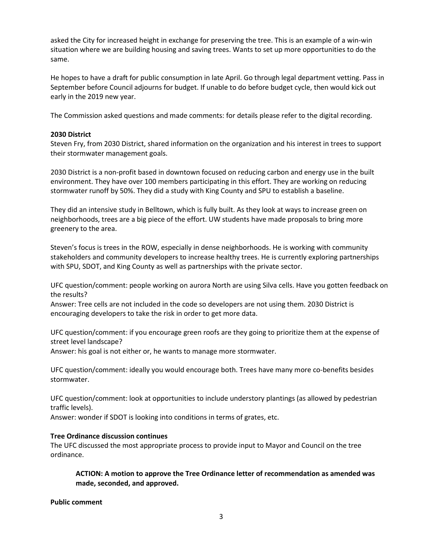asked the City for increased height in exchange for preserving the tree. This is an example of a win-win situation where we are building housing and saving trees. Wants to set up more opportunities to do the same.

He hopes to have a draft for public consumption in late April. Go through legal department vetting. Pass in September before Council adjourns for budget. If unable to do before budget cycle, then would kick out early in the 2019 new year.

The Commission asked questions and made comments: for details please refer to the digital recording.

### **2030 District**

Steven Fry, from 2030 District, shared information on the organization and his interest in trees to support their stormwater management goals.

2030 District is a non-profit based in downtown focused on reducing carbon and energy use in the built environment. They have over 100 members participating in this effort. They are working on reducing stormwater runoff by 50%. They did a study with King County and SPU to establish a baseline.

They did an intensive study in Belltown, which is fully built. As they look at ways to increase green on neighborhoods, trees are a big piece of the effort. UW students have made proposals to bring more greenery to the area.

Steven's focus is trees in the ROW, especially in dense neighborhoods. He is working with community stakeholders and community developers to increase healthy trees. He is currently exploring partnerships with SPU, SDOT, and King County as well as partnerships with the private sector.

UFC question/comment: people working on aurora North are using Silva cells. Have you gotten feedback on the results?

Answer: Tree cells are not included in the code so developers are not using them. 2030 District is encouraging developers to take the risk in order to get more data.

UFC question/comment: if you encourage green roofs are they going to prioritize them at the expense of street level landscape?

Answer: his goal is not either or, he wants to manage more stormwater.

UFC question/comment: ideally you would encourage both. Trees have many more co-benefits besides stormwater.

UFC question/comment: look at opportunities to include understory plantings (as allowed by pedestrian traffic levels).

Answer: wonder if SDOT is looking into conditions in terms of grates, etc.

## **Tree Ordinance discussion continues**

The UFC discussed the most appropriate process to provide input to Mayor and Council on the tree ordinance.

**ACTION: A motion to approve the Tree Ordinance letter of recommendation as amended was made, seconded, and approved.**

**Public comment**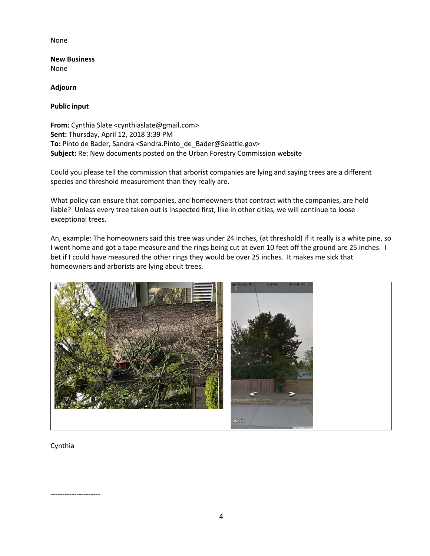## None

**New Business** None

**Adjourn**

**Public input**

**From:** Cynthia Slate <cynthiaslate@gmail.com> **Sent:** Thursday, April 12, 2018 3:39 PM **To:** Pinto de Bader, Sandra <Sandra.Pinto\_de\_Bader@Seattle.gov> **Subject:** Re: New documents posted on the Urban Forestry Commission website

Could you please tell the commission that arborist companies are lying and saying trees are a different species and threshold measurement than they really are.

What policy can ensure that companies, and homeowners that contract with the companies, are held liable? Unless every tree taken out is inspected first, like in other cities, we will continue to loose exceptional trees.

An, example: The homeowners said this tree was under 24 inches, (at threshold) if it really is a white pine, so I went home and got a tape measure and the rings being cut at even 10 feet off the ground are 25 inches. I bet if I could have measured the other rings they would be over 25 inches. It makes me sick that homeowners and arborists are lying about trees.



Cynthia

**---------------------**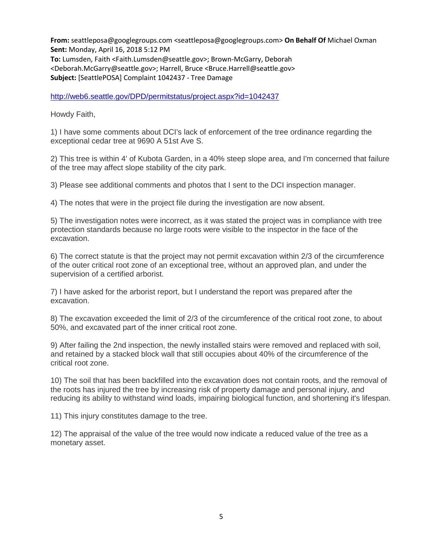**From:** seattleposa@googlegroups.com <seattleposa@googlegroups.com> **On Behalf Of** Michael Oxman **Sent:** Monday, April 16, 2018 5:12 PM **To:** Lumsden, Faith <Faith.Lumsden@seattle.gov>; Brown-McGarry, Deborah <Deborah.McGarry@seattle.gov>; Harrell, Bruce <Bruce.Harrell@seattle.gov> **Subject:** [SeattlePOSA] Complaint 1042437 - Tree Damage

<http://web6.seattle.gov/DPD/permitstatus/project.aspx?id=1042437>

Howdy Faith,

1) I have some comments about DCI's lack of enforcement of the tree ordinance regarding the exceptional cedar tree at 9690 A 51st Ave S.

2) This tree is within 4' of Kubota Garden, in a 40% steep slope area, and I'm concerned that failure of the tree may affect slope stability of the city park.

3) Please see additional comments and photos that I sent to the DCI inspection manager.

4) The notes that were in the project file during the investigation are now absent.

5) The investigation notes were incorrect, as it was stated the project was in compliance with tree protection standards because no large roots were visible to the inspector in the face of the excavation.

6) The correct statute is that the project may not permit excavation within 2/3 of the circumference of the outer critical root zone of an exceptional tree, without an approved plan, and under the supervision of a certified arborist.

7) I have asked for the arborist report, but I understand the report was prepared after the excavation.

8) The excavation exceeded the limit of 2/3 of the circumference of the critical root zone, to about 50%, and excavated part of the inner critical root zone.

9) After failing the 2nd inspection, the newly installed stairs were removed and replaced with soil, and retained by a stacked block wall that still occupies about 40% of the circumference of the critical root zone.

10) The soil that has been backfilled into the excavation does not contain roots, and the removal of the roots has injured the tree by increasing risk of property damage and personal injury, and reducing its ability to withstand wind loads, impairing biological function, and shortening it's lifespan.

11) This injury constitutes damage to the tree.

12) The appraisal of the value of the tree would now indicate a reduced value of the tree as a monetary asset.